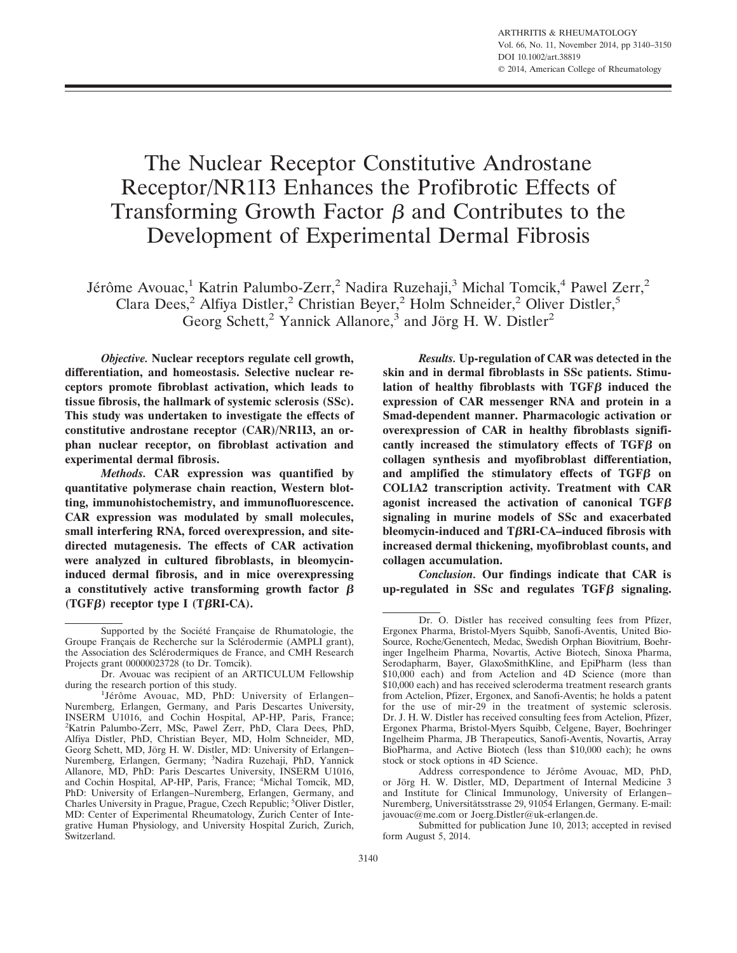# The Nuclear Receptor Constitutive Androstane Receptor/NR1I3 Enhances the Profibrotic Effects of Transforming Growth Factor  $\beta$  and Contributes to the Development of Experimental Dermal Fibrosis

Jérôme Avouac,<sup>1</sup> Katrin Palumbo-Zerr,<sup>2</sup> Nadira Ruzehaji,<sup>3</sup> Michal Tomcik,<sup>4</sup> Pawel Zerr,<sup>2</sup> Clara Dees,<sup>2</sup> Alfiya Distler,<sup>2</sup> Christian Beyer,<sup>2</sup> Holm Schneider,<sup>2</sup> Oliver Distler,<sup>5</sup> Georg Schett,<sup>2</sup> Yannick Allanore,<sup>3</sup> and Jörg H. W. Distler<sup>2</sup>

*Objective.* **Nuclear receptors regulate cell growth, differentiation, and homeostasis. Selective nuclear receptors promote fibroblast activation, which leads to tissue fibrosis, the hallmark of systemic sclerosis (SSc). This study was undertaken to investigate the effects of constitutive androstane receptor (CAR)/NR1I3, an orphan nuclear receptor, on fibroblast activation and experimental dermal fibrosis.**

*Methods.* **CAR expression was quantified by quantitative polymerase chain reaction, Western blotting, immunohistochemistry, and immunofluorescence. CAR expression was modulated by small molecules, small interfering RNA, forced overexpression, and sitedirected mutagenesis. The effects of CAR activation were analyzed in cultured fibroblasts, in bleomycininduced dermal fibrosis, and in mice overexpressing a constitutively active transforming growth factor**  $\beta$ **(TGF) receptor type I (TRI-CA).**

*Results.* **Up-regulation of CAR was detected in the skin and in dermal fibroblasts in SSc patients. Stimulation of healthy fibroblasts with TGFB induced the expression of CAR messenger RNA and protein in a Smad-dependent manner. Pharmacologic activation or overexpression of CAR in healthy fibroblasts signifi**cantly increased the stimulatory effects of TGF<sub>B</sub> on **collagen synthesis and myofibroblast differentiation,** and amplified the stimulatory effects of TGFB on **COL1A2 transcription activity. Treatment with CAR agonist increased the activation of canonical TGF signaling in murine models of SSc and exacerbated bleomycin-induced and TRI-CA–induced fibrosis with increased dermal thickening, myofibroblast counts, and collagen accumulation.**

*Conclusion.* **Our findings indicate that CAR is**  $up$ -regulated in SSc and regulates  $TGF\beta$  signaling.

Supported by the Société Française de Rhumatologie, the Groupe Français de Recherche sur la Sclérodermie (AMPLI grant), the Association des Sclérodermiques de France, and CMH Research Projects grant 00000023728 (to Dr. Tomcik).

Dr. Avouac was recipient of an ARTICULUM Fellowship during the research portion of this study.

<sup>&</sup>lt;sup>1</sup>Jérôme Avouac, MD, PhD: University of Erlangen-Nuremberg, Erlangen, Germany, and Paris Descartes University, INSERM U1016, and Cochin Hospital, AP-HP, Paris, France; 2 Katrin Palumbo-Zerr, MSc, Pawel Zerr, PhD, Clara Dees, PhD, Alfiya Distler, PhD, Christian Beyer, MD, Holm Schneider, MD, Georg Schett, MD, Jörg H. W. Distler, MD: University of Erlangen– Nuremberg, Erlangen, Germany; <sup>3</sup> Nadira Ruzehaji, PhD, Yannick Allanore, MD, PhD: Paris Descartes University, INSERM U1016, and Cochin Hospital, AP-HP, Paris, France; <sup>4</sup> Michal Tomcik, MD, PhD: University of Erlangen–Nuremberg, Erlangen, Germany, and Charles University in Prague, Prague, Czech Republic; <sup>5</sup>Oliver Distler, MD: Center of Experimental Rheumatology, Zurich Center of Integrative Human Physiology, and University Hospital Zurich, Zurich, Switzerland.

Dr. O. Distler has received consulting fees from Pfizer, Ergonex Pharma, Bristol-Myers Squibb, Sanofi-Aventis, United Bio-Source, Roche/Genentech, Medac, Swedish Orphan Biovitrium, Boehringer Ingelheim Pharma, Novartis, Active Biotech, Sinoxa Pharma, Serodapharm, Bayer, GlaxoSmithKline, and EpiPharm (less than \$10,000 each) and from Actelion and 4D Science (more than \$10,000 each) and has received scleroderma treatment research grants from Actelion, Pfizer, Ergonex, and Sanofi-Aventis; he holds a patent for the use of mir-29 in the treatment of systemic sclerosis. Dr. J. H. W. Distler has received consulting fees from Actelion, Pfizer, Ergonex Pharma, Bristol-Myers Squibb, Celgene, Bayer, Boehringer Ingelheim Pharma, JB Therapeutics, Sanofi-Aventis, Novartis, Array BioPharma, and Active Biotech (less than \$10,000 each); he owns stock or stock options in 4D Science.

Address correspondence to Jérôme Avouac, MD, PhD, or Jörg H. W. Distler, MD, Department of Internal Medicine 3 and Institute for Clinical Immunology, University of Erlangen– Nuremberg, Universitätsstrasse 29, 91054 Erlangen, Germany. E-mail: javouac@me.com or Joerg.Distler@uk-erlangen.de.

Submitted for publication June 10, 2013; accepted in revised form August 5, 2014.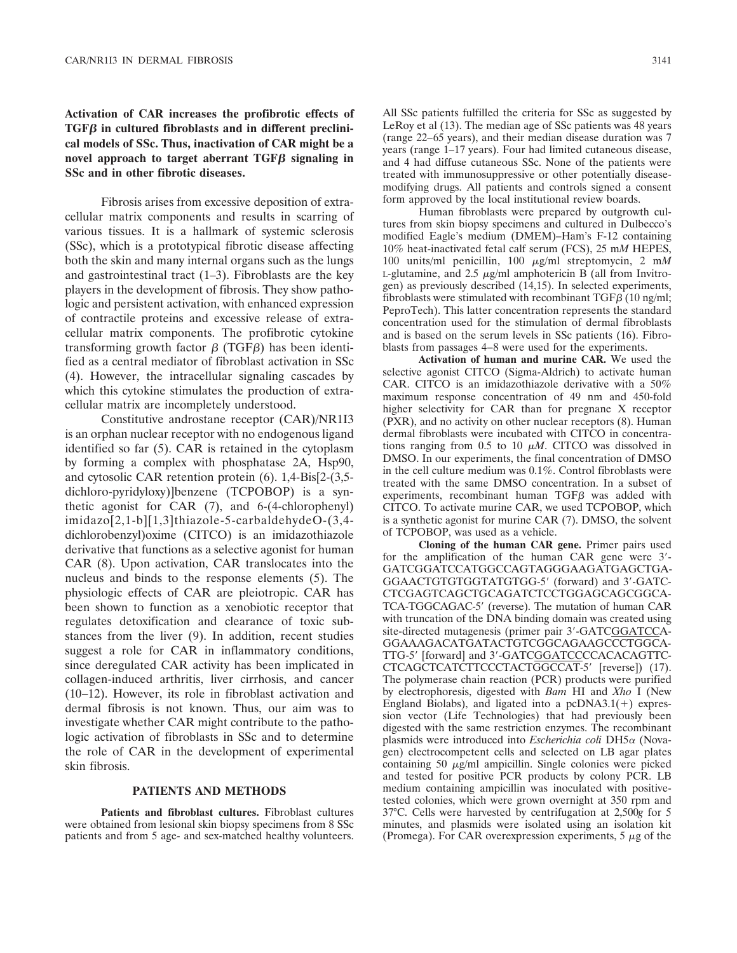## **Activation of CAR increases the profibrotic effects of TGF in cultured fibroblasts and in different preclinical models of SSc. Thus, inactivation of CAR might be a** novel approach to target aberrant  $TGF\beta$  signaling in **SSc and in other fibrotic diseases.**

Fibrosis arises from excessive deposition of extracellular matrix components and results in scarring of various tissues. It is a hallmark of systemic sclerosis (SSc), which is a prototypical fibrotic disease affecting both the skin and many internal organs such as the lungs and gastrointestinal tract  $(1-3)$ . Fibroblasts are the key players in the development of fibrosis. They show pathologic and persistent activation, with enhanced expression of contractile proteins and excessive release of extracellular matrix components. The profibrotic cytokine transforming growth factor  $\beta$  (TGF $\beta$ ) has been identified as a central mediator of fibroblast activation in SSc (4). However, the intracellular signaling cascades by which this cytokine stimulates the production of extracellular matrix are incompletely understood.

Constitutive androstane receptor (CAR)/NR1I3 is an orphan nuclear receptor with no endogenous ligand identified so far (5). CAR is retained in the cytoplasm by forming a complex with phosphatase 2A, Hsp90, and cytosolic CAR retention protein (6). 1,4-Bis[2-(3,5 dichloro-pyridyloxy)]benzene (TCPOBOP) is a synthetic agonist for CAR (7), and 6-(4-chlorophenyl) imidazo[2,1-b][1,3]thiazole-5-carbaldehydeO-(3,4 dichlorobenzyl)oxime (CITCO) is an imidazothiazole derivative that functions as a selective agonist for human CAR (8). Upon activation, CAR translocates into the nucleus and binds to the response elements (5). The physiologic effects of CAR are pleiotropic. CAR has been shown to function as a xenobiotic receptor that regulates detoxification and clearance of toxic substances from the liver (9). In addition, recent studies suggest a role for CAR in inflammatory conditions, since deregulated CAR activity has been implicated in collagen-induced arthritis, liver cirrhosis, and cancer (10–12). However, its role in fibroblast activation and dermal fibrosis is not known. Thus, our aim was to investigate whether CAR might contribute to the pathologic activation of fibroblasts in SSc and to determine the role of CAR in the development of experimental skin fibrosis.

## **PATIENTS AND METHODS**

**Patients and fibroblast cultures.** Fibroblast cultures were obtained from lesional skin biopsy specimens from 8 SSc patients and from 5 age- and sex-matched healthy volunteers.

All SSc patients fulfilled the criteria for SSc as suggested by LeRoy et al (13). The median age of SSc patients was 48 years (range 22–65 years), and their median disease duration was 7 years (range 1–17 years). Four had limited cutaneous disease, and 4 had diffuse cutaneous SSc. None of the patients were treated with immunosuppressive or other potentially diseasemodifying drugs. All patients and controls signed a consent form approved by the local institutional review boards.

Human fibroblasts were prepared by outgrowth cultures from skin biopsy specimens and cultured in Dulbecco's modified Eagle's medium (DMEM)–Ham's F-12 containing 10% heat-inactivated fetal calf serum (FCS), 25 m*M* HEPES, 100 units/ml penicillin, 100  $\mu$ g/ml streptomycin, 2 m*M*<br>Legislation and 2.5  $\mu$ g/ml amphotericin B (all from Invitro-L-glutamine, and  $2.5 \mu$ g/ml amphotericin B (all from Invitrogen) as previously described (14,15). In selected experiments, fibroblasts were stimulated with recombinant TGF $\beta$  (10 ng/ml; PeproTech). This latter concentration represents the standard concentration used for the stimulation of dermal fibroblasts and is based on the serum levels in SSc patients (16). Fibroblasts from passages 4–8 were used for the experiments.

**Activation of human and murine CAR.** We used the selective agonist CITCO (Sigma-Aldrich) to activate human CAR. CITCO is an imidazothiazole derivative with a 50% maximum response concentration of 49 nm and 450-fold higher selectivity for CAR than for pregnane X receptor (PXR), and no activity on other nuclear receptors (8). Human dermal fibroblasts were incubated with CITCO in concentrations ranging from 0.5 to 10  $\mu$ *M*. CITCO was dissolved in<br>DMSO In our experiments the final concentration of DMSO DMSO. In our experiments, the final concentration of DMSO in the cell culture medium was 0.1%. Control fibroblasts were treated with the same DMSO concentration. In a subset of experiments, recombinant human  $TGF\beta$  was added with CITCO. To activate murine CAR, we used TCPOBOP, which is a synthetic agonist for murine CAR (7). DMSO, the solvent of TCPOBOP, was used as a vehicle.

**Cloning of the human CAR gene.** Primer pairs used for the amplification of the human CAR gene were 3'-GATCGGATCCATGGCCAGTAGGGAAGATGAGCTGA-GGAACTGTGTGGTATGTGG-5' (forward) and 3'-GATC-CTCGAGTCAGCTGCAGATCTCCTGGAGCAGCGGCA-TCA-TGGCAGAC-5' (reverse). The mutation of human CAR with truncation of the DNA binding domain was created using site-directed mutagenesis (primer pair 3'-GATCGGATCCA-GGAAAGACATGATACTGTCGGCAGAAGCCCTGGCA-TTG-5' [forward] and 3'-GATCGGATCCCCACACAGTTC-CTCAGCTCATCTTCCCTACTGGCCAT-5' [reverse]) (17). The polymerase chain reaction (PCR) products were purified by electrophoresis, digested with *Bam* HI and *Xho* I (New England Biolabs), and ligated into a  $pcDNA3.1(+)$  expression vector (Life Technologies) that had previously been digested with the same restriction enzymes. The recombinant plasmids were introduced into *Escherichia coli* DH5 $\alpha$  (Novagen) electrocompetent cells and selected on LB agar plates containing 50 µg/ml ampicillin. Single colonies were picked and tested for positive PCR products by colony PCR. LB medium containing ampicillin was inoculated with positivetested colonies, which were grown overnight at 350 rpm and 37°C. Cells were harvested by centrifugation at 2,500*g* for 5 minutes, and plasmids were isolated using an isolation kit (Promega). For CAR overexpression experiments,  $5 \mu g$  of the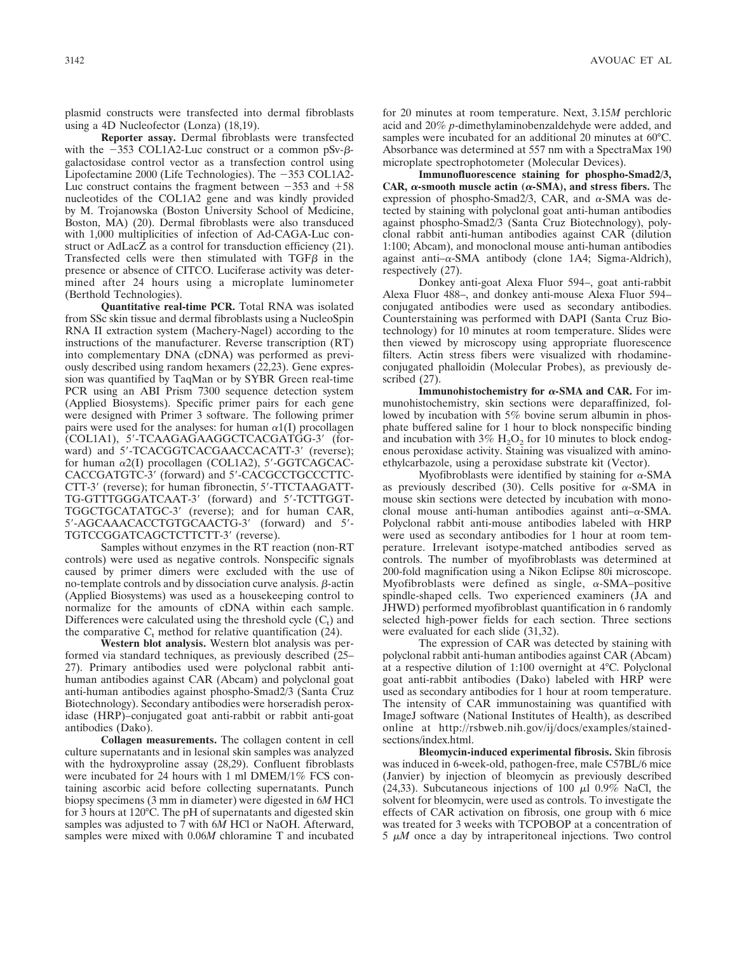plasmid constructs were transfected into dermal fibroblasts using a 4D Nucleofector (Lonza) (18,19).

**Reporter assay.** Dermal fibroblasts were transfected with the  $-353$  COL1A2-Luc construct or a common pSv- $\beta$ galactosidase control vector as a transfection control using Lipofectamine 2000 (Life Technologies). The  $-353$  COL1A2-Luc construct contains the fragment between  $-353$  and  $+58$ nucleotides of the COL1A2 gene and was kindly provided by M. Trojanowska (Boston University School of Medicine, Boston, MA) (20). Dermal fibroblasts were also transduced with 1,000 multiplicities of infection of Ad-CAGA-Luc construct or AdLacZ as a control for transduction efficiency (21). Transfected cells were then stimulated with  $TGF\beta$  in the presence or absence of CITCO. Luciferase activity was determined after 24 hours using a microplate luminometer (Berthold Technologies).

**Quantitative real-time PCR.** Total RNA was isolated from SSc skin tissue and dermal fibroblasts using a NucleoSpin RNA II extraction system (Machery-Nagel) according to the instructions of the manufacturer. Reverse transcription (RT) into complementary DNA (cDNA) was performed as previously described using random hexamers (22,23). Gene expression was quantified by TaqMan or by SYBR Green real-time PCR using an ABI Prism 7300 sequence detection system (Applied Biosystems). Specific primer pairs for each gene were designed with Primer 3 software. The following primer pairs were used for the analyses: for human  $\alpha$ 1(I) procollagen (COL1A1), 5'-TCAAGAGAAGGCTCACGATGG-3' (forward) and 5'-TCACGGTCACGAACCACATT-3' (reverse); for human  $\alpha$ 2(I) procollagen (COL1A2), 5'-GGTCAGCAC-CACCGATGTC-3' (forward) and 5'-CACGCCTGCCCTTC-CTT-3' (reverse); for human fibronectin, 5'-TTCTAAGATT-TG-GTTTGGGATCAAT-3' (forward) and 5'-TCTTGGT-TGGCTGCATATGC-3' (reverse); and for human CAR, 5'-AGCAAACACCTGTGCAACTG-3' (forward) and 5'-TGTCCGGATCAGCTCTTCTT-3' (reverse).

Samples without enzymes in the RT reaction (non-RT controls) were used as negative controls. Nonspecific signals caused by primer dimers were excluded with the use of no-template controls and by dissociation curve analysis.  $\beta$ -actin (Applied Biosystems) was used as a housekeeping control to normalize for the amounts of cDNA within each sample. Differences were calculated using the threshold cycle  $(C_t)$  and the comparative  $C_t$  method for relative quantification (24).

**Western blot analysis.** Western blot analysis was performed via standard techniques, as previously described (25– 27). Primary antibodies used were polyclonal rabbit antihuman antibodies against CAR (Abcam) and polyclonal goat anti-human antibodies against phospho-Smad2/3 (Santa Cruz Biotechnology). Secondary antibodies were horseradish peroxidase (HRP)–conjugated goat anti-rabbit or rabbit anti-goat antibodies (Dako).

**Collagen measurements.** The collagen content in cell culture supernatants and in lesional skin samples was analyzed with the hydroxyproline assay (28,29). Confluent fibroblasts were incubated for 24 hours with 1 ml DMEM/1% FCS containing ascorbic acid before collecting supernatants. Punch biopsy specimens (3 mm in diameter) were digested in 6*M* HCl for 3 hours at 120°C. The pH of supernatants and digested skin samples was adjusted to 7 with 6*M* HCl or NaOH. Afterward, samples were mixed with 0.06*M* chloramine T and incubated for 20 minutes at room temperature. Next, 3.15*M* perchloric acid and 20% *p*-dimethylaminobenzaldehyde were added, and samples were incubated for an additional 20 minutes at 60°C. Absorbance was determined at 557 nm with a SpectraMax 190 microplate spectrophotometer (Molecular Devices).

**Immunofluorescence staining for phospho-Smad2/3, CAR,**  $\alpha$ **-smooth muscle actin (** $\alpha$ **-SMA), and stress fibers.** The expression of phospho-Smad2/3, CAR, and  $\alpha$ -SMA was detected by staining with polyclonal goat anti-human antibodies against phospho-Smad2/3 (Santa Cruz Biotechnology), polyclonal rabbit anti-human antibodies against CAR (dilution 1:100; Abcam), and monoclonal mouse anti-human antibodies against anti- $\alpha$ -SMA antibody (clone 1A4; Sigma-Aldrich), respectively (27).

Donkey anti-goat Alexa Fluor 594–, goat anti-rabbit Alexa Fluor 488–, and donkey anti-mouse Alexa Fluor 594– conjugated antibodies were used as secondary antibodies. Counterstaining was performed with DAPI (Santa Cruz Biotechnology) for 10 minutes at room temperature. Slides were then viewed by microscopy using appropriate fluorescence filters. Actin stress fibers were visualized with rhodamineconjugated phalloidin (Molecular Probes), as previously described (27).

**Immunohistochemistry for**  $\alpha$ **-SMA and CAR.** For immunohistochemistry, skin sections were deparaffinized, followed by incubation with 5% bovine serum albumin in phosphate buffered saline for 1 hour to block nonspecific binding and incubation with  $3\%$  H<sub>2</sub>O<sub>2</sub> for 10 minutes to block endogenous peroxidase activity. Staining was visualized with aminoethylcarbazole, using a peroxidase substrate kit (Vector).

Myofibroblasts were identified by staining for  $\alpha$ -SMA as previously described (30). Cells positive for  $\alpha$ -SMA in mouse skin sections were detected by incubation with monoclonal mouse anti-human antibodies against anti $-\alpha$ -SMA. Polyclonal rabbit anti-mouse antibodies labeled with HRP were used as secondary antibodies for 1 hour at room temperature. Irrelevant isotype-matched antibodies served as controls. The number of myofibroblasts was determined at 200-fold magnification using a Nikon Eclipse 80i microscope. Myofibroblasts were defined as single,  $\alpha$ -SMA–positive spindle-shaped cells. Two experienced examiners (JA and JHWD) performed myofibroblast quantification in 6 randomly selected high-power fields for each section. Three sections were evaluated for each slide (31,32).

The expression of CAR was detected by staining with polyclonal rabbit anti-human antibodies against CAR (Abcam) at a respective dilution of 1:100 overnight at 4°C. Polyclonal goat anti-rabbit antibodies (Dako) labeled with HRP were used as secondary antibodies for 1 hour at room temperature. The intensity of CAR immunostaining was quantified with ImageJ software (National Institutes of Health), as described online at http://rsbweb.nih.gov/ij/docs/examples/stainedsections/index.html.

**Bleomycin-induced experimental fibrosis.** Skin fibrosis was induced in 6-week-old, pathogen-free, male C57BL/6 mice (Janvier) by injection of bleomycin as previously described (24,33). Subcutaneous injections of 100  $\mu$ l 0.9% NaCl, the solvent for bleomycin, were used as controls. To investigate the effects of CAR activation on fibrosis, one group with 6 mice was treated for 3 weeks with TCPOBOP at a concentration of  $5 \mu M$  once a day by intraperitoneal injections. Two control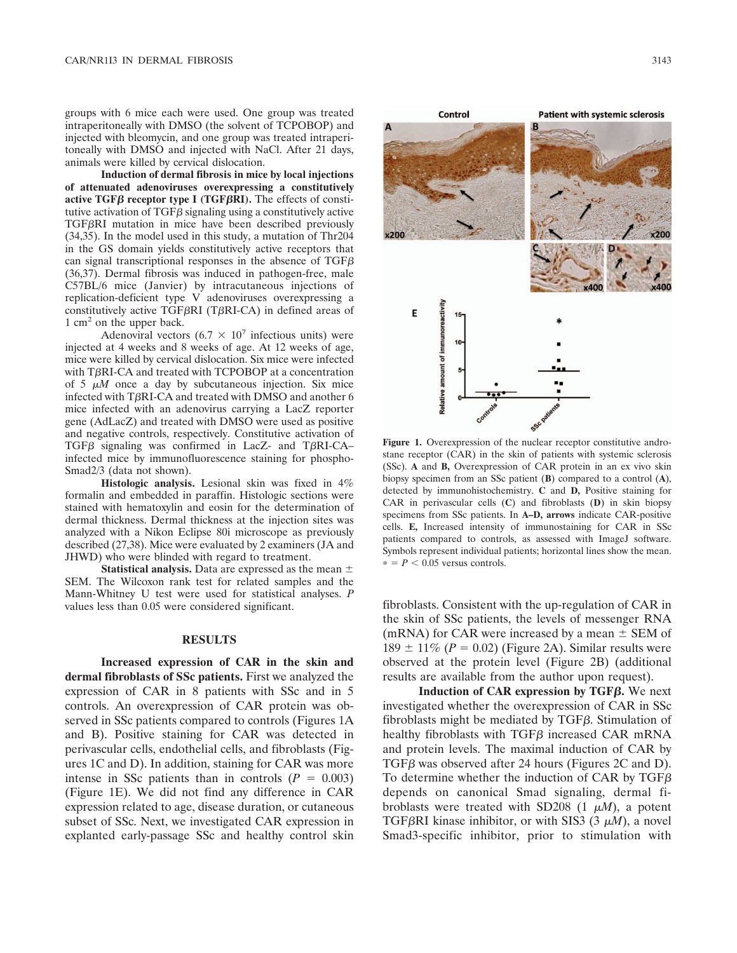groups with 6 mice each were used. One group was treated intraperitoneally with DMSO (the solvent of TCPOBOP) and injected with bleomycin, and one group was treated intraperitoneally with DMSO and injected with NaCl. After 21 days, animals were killed by cervical dislocation.

**Induction of dermal fibrosis in mice by local injections of attenuated adenoviruses overexpressing a constitutively active TGF** $\beta$  **receptor type I (TGF** $\beta$ **RI). The effects of consti**tutive activation of  $TGF\beta$  signaling using a constitutively active TGFRI mutation in mice have been described previously (34,35). In the model used in this study, a mutation of Thr204 in the GS domain yields constitutively active receptors that can signal transcriptional responses in the absence of  $TGF\beta$ (36,37). Dermal fibrosis was induced in pathogen-free, male C57BL/6 mice (Janvier) by intracutaneous injections of replication-deficient type V adenoviruses overexpressing a constitutively active TGF $\beta$ RI (T $\beta$ RI-CA) in defined areas of  $1 \text{ cm}^2$  on the upper back.

Adenoviral vectors  $(6.7 \times 10^7)$  infectious units) were injected at 4 weeks and 8 weeks of age. At 12 weeks of age, mice were killed by cervical dislocation. Six mice were infected with T $\beta$ RI-CA and treated with TCPOBOP at a concentration of  $5 \mu M$  once a day by subcutaneous injection. Six mice<br>infected with TBRI-CA and treated with DMSO and another 6 infected with TBRI-CA and treated with DMSO and another 6 mice infected with an adenovirus carrying a LacZ reporter gene (AdLacZ) and treated with DMSO were used as positive and negative controls, respectively. Constitutive activation of TGF $\beta$  signaling was confirmed in LacZ- and T $\beta$ RI-CA– infected mice by immunofluorescence staining for phospho-Smad2/3 (data not shown).

**Histologic analysis.** Lesional skin was fixed in 4% formalin and embedded in paraffin. Histologic sections were stained with hematoxylin and eosin for the determination of dermal thickness. Dermal thickness at the injection sites was analyzed with a Nikon Eclipse 80i microscope as previously described (27,38). Mice were evaluated by 2 examiners (JA and JHWD) who were blinded with regard to treatment.

**Statistical analysis.** Data are expressed as the mean SEM. The Wilcoxon rank test for related samples and the Mann-Whitney U test were used for statistical analyses. *P* values less than 0.05 were considered significant.

#### **RESULTS**

**Increased expression of CAR in the skin and dermal fibroblasts of SSc patients.** First we analyzed the expression of CAR in 8 patients with SSc and in 5 controls. An overexpression of CAR protein was observed in SSc patients compared to controls (Figures 1A and B). Positive staining for CAR was detected in perivascular cells, endothelial cells, and fibroblasts (Figures 1C and D). In addition, staining for CAR was more intense in SSc patients than in controls  $(P = 0.003)$ (Figure 1E). We did not find any difference in CAR expression related to age, disease duration, or cutaneous subset of SSc. Next, we investigated CAR expression in explanted early-passage SSc and healthy control skin



**Figure 1.** Overexpression of the nuclear receptor constitutive androstane receptor (CAR) in the skin of patients with systemic sclerosis (SSc). **A** and **B,** Overexpression of CAR protein in an ex vivo skin biopsy specimen from an SSc patient (**B**) compared to a control (**A**), detected by immunohistochemistry. **C** and **D,** Positive staining for CAR in perivascular cells (**C**) and fibroblasts (**D**) in skin biopsy specimens from SSc patients. In **A–D, arrows** indicate CAR-positive cells. **E,** Increased intensity of immunostaining for CAR in SSc patients compared to controls, as assessed with ImageJ software. Symbols represent individual patients; horizontal lines show the mean.  $* = P < 0.05$  versus controls.

fibroblasts. Consistent with the up-regulation of CAR in the skin of SSc patients, the levels of messenger RNA (mRNA) for CAR were increased by a mean  $\pm$  SEM of  $189 \pm 11\%$  ( $P = 0.02$ ) (Figure 2A). Similar results were observed at the protein level (Figure 2B) (additional results are available from the author upon request).

**Induction of CAR expression by TGF.** We next investigated whether the overexpression of CAR in SSc fibroblasts might be mediated by  $TGF\beta$ . Stimulation of healthy fibroblasts with TGF $\beta$  increased CAR mRNA and protein levels. The maximal induction of CAR by TGF $\beta$  was observed after 24 hours (Figures 2C and D). To determine whether the induction of CAR by TGF depends on canonical Smad signaling, dermal fibroblasts were treated with SD208  $(1 \mu M)$ , a potent<br>TGERRI kinase inhibitor or with SIS3  $(3 \mu M)$  a novel TGF<sub>β</sub>RI kinase inhibitor, or with SIS3 (3  $\mu$ *M*), a novel<br>Smad3-specific inhibitor, prior to stimulation with Smad3-specific inhibitor, prior to stimulation with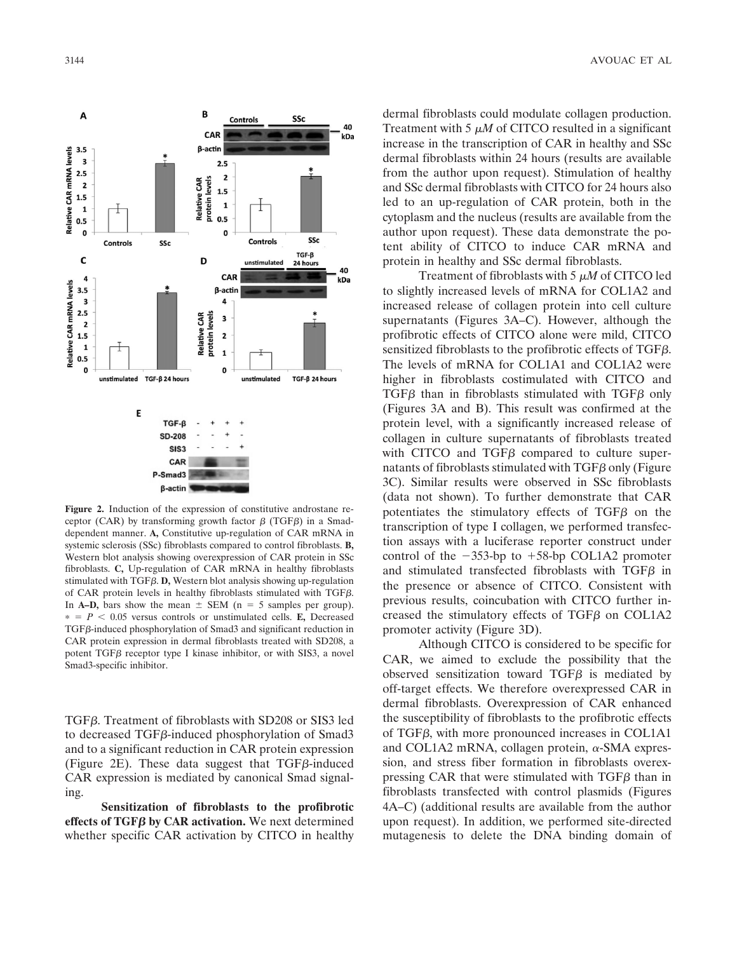

**Figure 2.** Induction of the expression of constitutive androstane receptor (CAR) by transforming growth factor  $\beta$  (TGF $\beta$ ) in a Smaddependent manner. **A,** Constitutive up-regulation of CAR mRNA in systemic sclerosis (SSc) fibroblasts compared to control fibroblasts. **B,** Western blot analysis showing overexpression of CAR protein in SSc fibroblasts. **C,** Up-regulation of CAR mRNA in healthy fibroblasts stimulated with  $TGF\beta$ . **D**, Western blot analysis showing up-regulation of CAR protein levels in healthy fibroblasts stimulated with TGF $\beta$ . In **A–D,** bars show the mean  $\pm$  SEM (n = 5 samples per group).  $* = P < 0.05$  versus controls or unstimulated cells. **E**, Decreased  $TGF\beta$ -induced phosphorylation of Smad3 and significant reduction in CAR protein expression in dermal fibroblasts treated with SD208, a potent TGF $\beta$  receptor type I kinase inhibitor, or with SIS3, a novel Smad3-specific inhibitor.

TGF $\beta$ . Treatment of fibroblasts with SD208 or SIS3 led to decreased  $TGF\beta$ -induced phosphorylation of Smad3 and to a significant reduction in CAR protein expression (Figure 2E). These data suggest that  $TGF\beta$ -induced CAR expression is mediated by canonical Smad signaling.

**Sensitization of fibroblasts to the profibrotic** effects of  $TGF\beta$  by CAR activation. We next determined whether specific CAR activation by CITCO in healthy

dermal fibroblasts could modulate collagen production. Treatment with 5  $\mu$ *M* of CITCO resulted in a significant<br>increase in the transcription of CAR in healthy and SSc increase in the transcription of CAR in healthy and SSc dermal fibroblasts within 24 hours (results are available from the author upon request). Stimulation of healthy and SSc dermal fibroblasts with CITCO for 24 hours also led to an up-regulation of CAR protein, both in the cytoplasm and the nucleus (results are available from the author upon request). These data demonstrate the potent ability of CITCO to induce CAR mRNA and protein in healthy and SSc dermal fibroblasts.

Treatment of fibroblasts with  $5 \mu M$  of CITCO led<br>the increased levels of mRNA for COL142 and to slightly increased levels of mRNA for COL1A2 and increased release of collagen protein into cell culture supernatants (Figures 3A–C). However, although the profibrotic effects of CITCO alone were mild, CITCO sensitized fibroblasts to the profibrotic effects of TGF $\beta$ . The levels of mRNA for COL1A1 and COL1A2 were higher in fibroblasts costimulated with CITCO and  $TGF\beta$  than in fibroblasts stimulated with  $TGF\beta$  only (Figures 3A and B). This result was confirmed at the protein level, with a significantly increased release of collagen in culture supernatants of fibroblasts treated with CITCO and TGF $\beta$  compared to culture supernatants of fibroblasts stimulated with  $TGF\beta$  only (Figure 3C). Similar results were observed in SSc fibroblasts (data not shown). To further demonstrate that CAR potentiates the stimulatory effects of TGF $\beta$  on the transcription of type I collagen, we performed transfection assays with a luciferase reporter construct under control of the  $-353$ -bp to  $+58$ -bp COL1A2 promoter and stimulated transfected fibroblasts with  $TGF\beta$  in the presence or absence of CITCO. Consistent with previous results, coincubation with CITCO further increased the stimulatory effects of TGF $\beta$  on COL1A2 promoter activity (Figure 3D).

Although CITCO is considered to be specific for CAR, we aimed to exclude the possibility that the observed sensitization toward  $TGF\beta$  is mediated by off-target effects. We therefore overexpressed CAR in dermal fibroblasts. Overexpression of CAR enhanced the susceptibility of fibroblasts to the profibrotic effects of TGF $\beta$ , with more pronounced increases in COL1A1 and COL1A2 mRNA, collagen protein,  $\alpha$ -SMA expression, and stress fiber formation in fibroblasts overexpressing CAR that were stimulated with  $TGF\beta$  than in fibroblasts transfected with control plasmids (Figures 4A–C) (additional results are available from the author upon request). In addition, we performed site-directed mutagenesis to delete the DNA binding domain of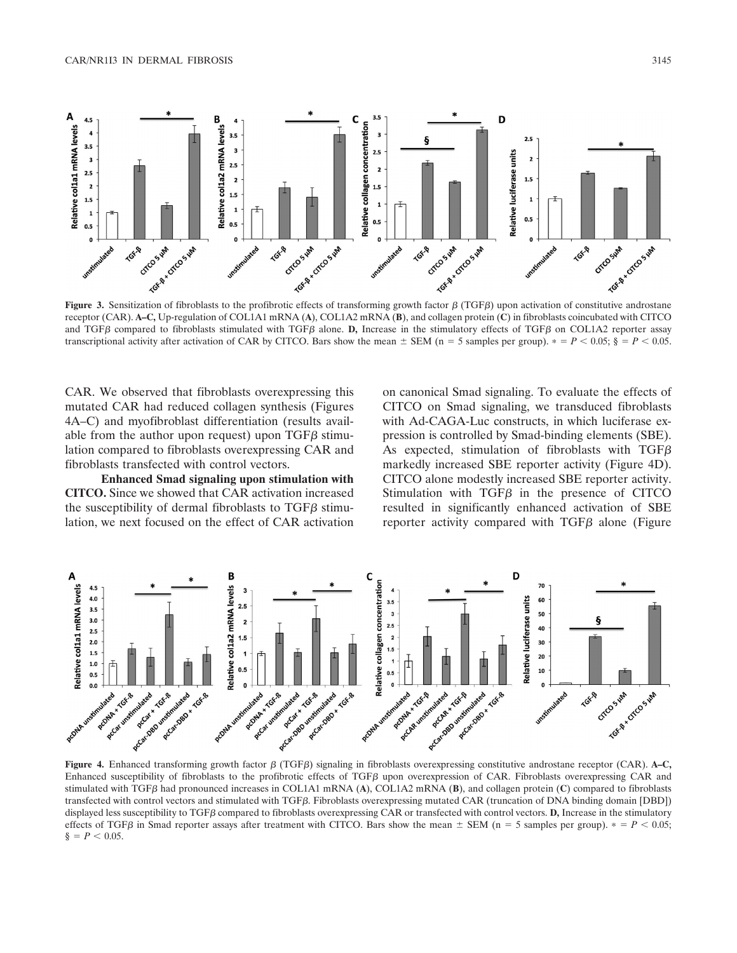

receptor (CAR). **A–C,** Up-regulation of COL1A1 mRNA (**A**), COL1A2 mRNA (**B**), and collagen protein (**C**) in fibroblasts coincubated with CITCO and TGF $\beta$  compared to fibroblasts stimulated with TGF $\beta$  alone. **D**, Increase in the stimulatory effects of TGF $\beta$  on COL1A2 reporter assay transcriptional activity after activation of CAR by CITCO. Bars show the mean  $\pm$  SEM (n = 5 samples per group).  $\ast = P < 0.05$ ; § =  $P < 0.05$ .

CAR. We observed that fibroblasts overexpressing this mutated CAR had reduced collagen synthesis (Figures 4A–C) and myofibroblast differentiation (results available from the author upon request) upon TGF $\beta$  stimulation compared to fibroblasts overexpressing CAR and fibroblasts transfected with control vectors.

**Enhanced Smad signaling upon stimulation with CITCO.** Since we showed that CAR activation increased the susceptibility of dermal fibroblasts to  $TGF\beta$  stimulation, we next focused on the effect of CAR activation on canonical Smad signaling. To evaluate the effects of CITCO on Smad signaling, we transduced fibroblasts with Ad-CAGA-Luc constructs, in which luciferase expression is controlled by Smad-binding elements (SBE). As expected, stimulation of fibroblasts with TGF $\beta$ markedly increased SBE reporter activity (Figure 4D). CITCO alone modestly increased SBE reporter activity. Stimulation with  $TGF\beta$  in the presence of CITCO resulted in significantly enhanced activation of SBE reporter activity compared with  $TGF\beta$  alone (Figure



**Figure 4.** Enhanced transforming growth factor β (TGFβ) signaling in fibroblasts overexpressing constitutive androstane receptor (CAR). A–C, Enhanced susceptibility of fibroblasts to the profibrotic effects of TGF $\beta$  upon overexpression of CAR. Fibroblasts overexpressing CAR and stimulated with TGF<sub>β</sub> had pronounced increases in COL1A1 mRNA (A), COL1A2 mRNA (B), and collagen protein (C) compared to fibroblasts transfected with control vectors and stimulated with TGFB. Fibroblasts overexpressing mutated CAR (truncation of DNA binding domain [DBD]) displayed less susceptibility to TGFB compared to fibroblasts overexpressing CAR or transfected with control vectors. **D**, Increase in the stimulatory effects of TGF $\beta$  in Smad reporter assays after treatment with CITCO. Bars show the mean  $\pm$  SEM (n = 5 samples per group).  $\ast$  = P < 0.05;  $\S = P < 0.05$ .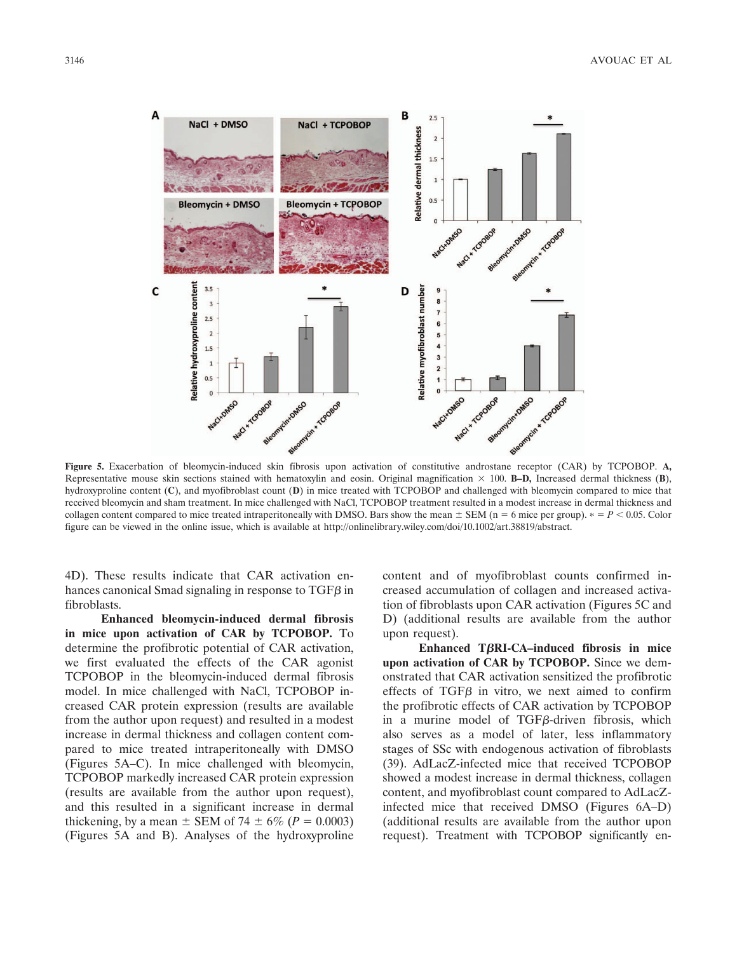

**Figure 5.** Exacerbation of bleomycin-induced skin fibrosis upon activation of constitutive androstane receptor (CAR) by TCPOBOP. **A,** Representative mouse skin sections stained with hematoxylin and eosin. Original magnification  $\times$  100. **B–D,** Increased dermal thickness (**B**), hydroxyproline content (**C**), and myofibroblast count (**D**) in mice treated with TCPOBOP and challenged with bleomycin compared to mice that received bleomycin and sham treatment. In mice challenged with NaCl, TCPOBOP treatment resulted in a modest increase in dermal thickness and collagen content compared to mice treated intraperitoneally with DMSO. Bars show the mean  $\pm$  SEM (n = 6 mice per group).  $\ast$  = P < 0.05. Color figure can be viewed in the online issue, which is available at http://onlinelibrary.wiley.com/doi/10.1002/art.38819/abstract.

4D). These results indicate that CAR activation enhances canonical Smad signaling in response to  $TGF\beta$  in fibroblasts.

**Enhanced bleomycin-induced dermal fibrosis in mice upon activation of CAR by TCPOBOP.** To determine the profibrotic potential of CAR activation, we first evaluated the effects of the CAR agonist TCPOBOP in the bleomycin-induced dermal fibrosis model. In mice challenged with NaCl, TCPOBOP increased CAR protein expression (results are available from the author upon request) and resulted in a modest increase in dermal thickness and collagen content compared to mice treated intraperitoneally with DMSO (Figures 5A–C). In mice challenged with bleomycin, TCPOBOP markedly increased CAR protein expression (results are available from the author upon request), and this resulted in a significant increase in dermal thickening, by a mean  $\pm$  SEM of 74  $\pm$  6% (*P* = 0.0003) (Figures 5A and B). Analyses of the hydroxyproline

content and of myofibroblast counts confirmed increased accumulation of collagen and increased activation of fibroblasts upon CAR activation (Figures 5C and D) (additional results are available from the author upon request).

**Enhanced TRI-CA–induced fibrosis in mice upon activation of CAR by TCPOBOP.** Since we demonstrated that CAR activation sensitized the profibrotic effects of  $TGF\beta$  in vitro, we next aimed to confirm the profibrotic effects of CAR activation by TCPOBOP in a murine model of  $TGF\beta$ -driven fibrosis, which also serves as a model of later, less inflammatory stages of SSc with endogenous activation of fibroblasts (39). AdLacZ-infected mice that received TCPOBOP showed a modest increase in dermal thickness, collagen content, and myofibroblast count compared to AdLacZinfected mice that received DMSO (Figures 6A–D) (additional results are available from the author upon request). Treatment with TCPOBOP significantly en-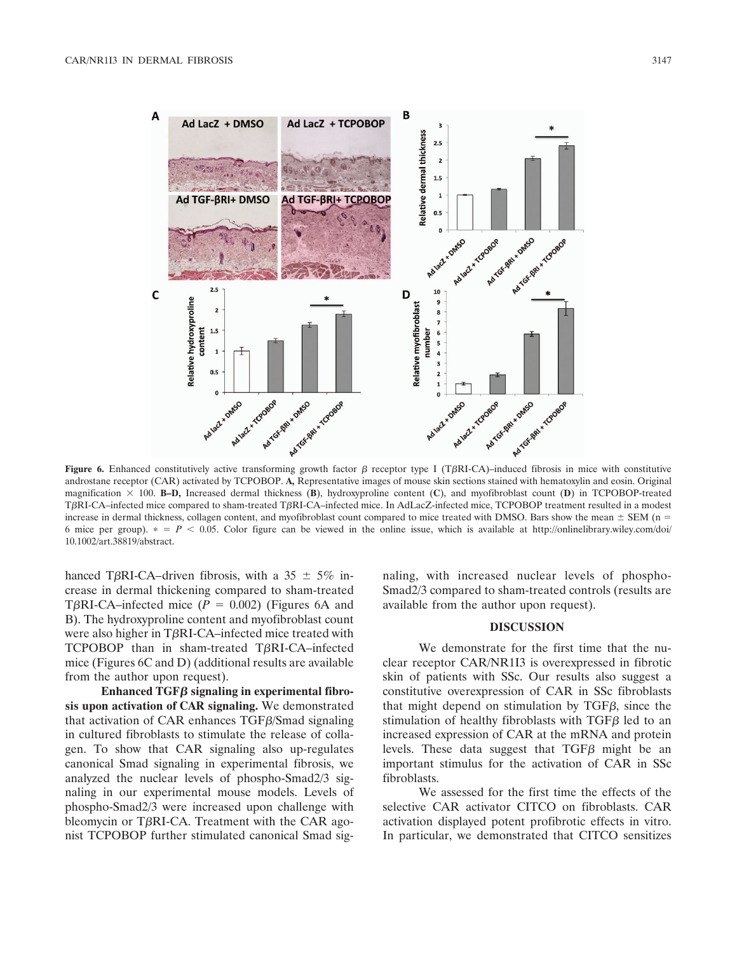

androstane receptor (CAR) activated by TCPOBOP. **A,** Representative images of mouse skin sections stained with hematoxylin and eosin. Original magnification  $\times$  100. **B–D,** Increased dermal thickness (**B**), hydroxyproline content (**C**), and myofibroblast count (**D**) in TCPOBOP-treated TRI-CA–infected mice compared to sham-treated TRI-CA–infected mice. In AdLacZ-infected mice, TCPOBOP treatment resulted in a modest increase in dermal thickness, collagen content, and myofibroblast count compared to mice treated with DMSO. Bars show the mean  $\pm$  SEM (n = 6 mice per group).  $* = P < 0.05$ . Color figure can be viewed in the online issue, which is available at http://onlinelibrary.wiley.com/doi/ 10.1002/art.38819/abstract.

hanced T $\beta$ RI-CA–driven fibrosis, with a 35  $\pm$  5% increase in dermal thickening compared to sham-treated T $\beta$ RI-CA–infected mice ( $P = 0.002$ ) (Figures 6A and B). The hydroxyproline content and myofibroblast count were also higher in T $\beta$ RI-CA–infected mice treated with TCPOBOP than in sham-treated T $\beta$ RI-CA-infected mice (Figures 6C and D) (additional results are available from the author upon request).

**Enhanced TGF signaling in experimental fibrosis upon activation of CAR signaling.** We demonstrated that activation of CAR enhances  $TGF\beta/S$  mad signaling in cultured fibroblasts to stimulate the release of collagen. To show that CAR signaling also up-regulates canonical Smad signaling in experimental fibrosis, we analyzed the nuclear levels of phospho-Smad2/3 signaling in our experimental mouse models. Levels of phospho-Smad2/3 were increased upon challenge with bleomycin or T $\beta$ RI-CA. Treatment with the CAR agonist TCPOBOP further stimulated canonical Smad signaling, with increased nuclear levels of phospho-Smad2/3 compared to sham-treated controls (results are available from the author upon request).

### **DISCUSSION**

We demonstrate for the first time that the nuclear receptor CAR/NR1I3 is overexpressed in fibrotic skin of patients with SSc. Our results also suggest a constitutive overexpression of CAR in SSc fibroblasts that might depend on stimulation by  $TGF\beta$ , since the stimulation of healthy fibroblasts with  $TGF\beta$  led to an increased expression of CAR at the mRNA and protein levels. These data suggest that  $TGF\beta$  might be an important stimulus for the activation of CAR in SSc fibroblasts.

We assessed for the first time the effects of the selective CAR activator CITCO on fibroblasts. CAR activation displayed potent profibrotic effects in vitro. In particular, we demonstrated that CITCO sensitizes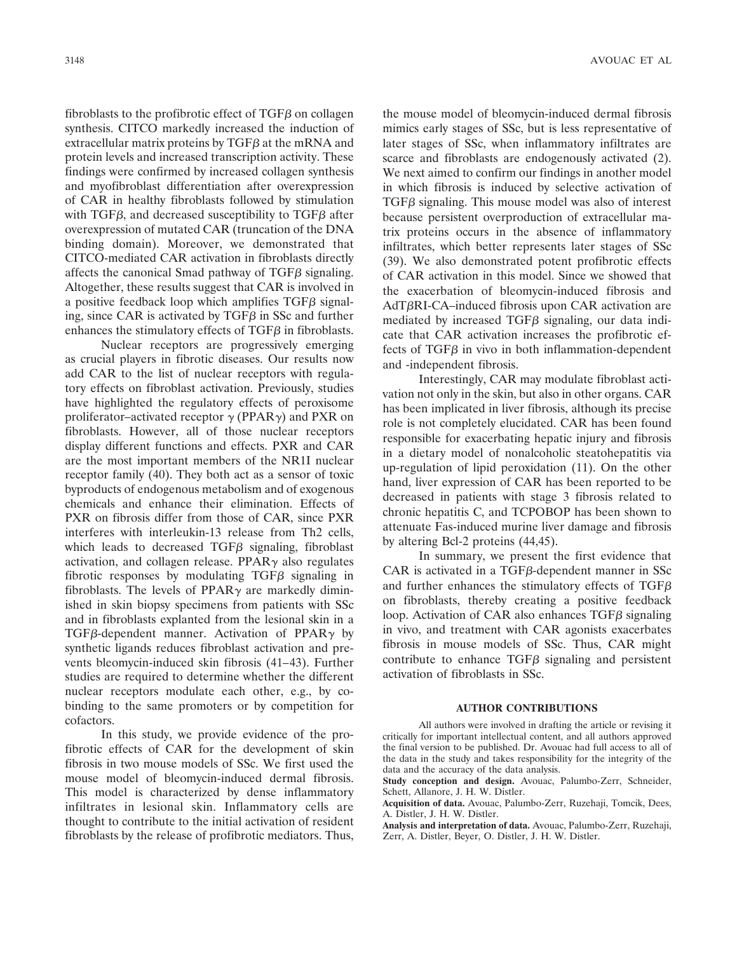fibroblasts to the profibrotic effect of  $TGF\beta$  on collagen synthesis. CITCO markedly increased the induction of extracellular matrix proteins by  $TGF\beta$  at the mRNA and protein levels and increased transcription activity. These findings were confirmed by increased collagen synthesis and myofibroblast differentiation after overexpression of CAR in healthy fibroblasts followed by stimulation with TGF $\beta$ , and decreased susceptibility to TGF $\beta$  after overexpression of mutated CAR (truncation of the DNA binding domain). Moreover, we demonstrated that CITCO-mediated CAR activation in fibroblasts directly affects the canonical Smad pathway of  $TGF\beta$  signaling. Altogether, these results suggest that CAR is involved in a positive feedback loop which amplifies  $TGF\beta$  signaling, since CAR is activated by  $TGF\beta$  in SSc and further enhances the stimulatory effects of TGF $\beta$  in fibroblasts.

Nuclear receptors are progressively emerging as crucial players in fibrotic diseases. Our results now add CAR to the list of nuclear receptors with regulatory effects on fibroblast activation. Previously, studies have highlighted the regulatory effects of peroxisome proliferator–activated receptor  $\gamma$  (PPAR $\gamma$ ) and PXR on fibroblasts. However, all of those nuclear receptors display different functions and effects. PXR and CAR are the most important members of the NR1I nuclear receptor family (40). They both act as a sensor of toxic byproducts of endogenous metabolism and of exogenous chemicals and enhance their elimination. Effects of PXR on fibrosis differ from those of CAR, since PXR interferes with interleukin-13 release from Th2 cells, which leads to decreased  $TGF\beta$  signaling, fibroblast activation, and collagen release. PPAR $\gamma$  also regulates fibrotic responses by modulating TGF $\beta$  signaling in fibroblasts. The levels of PPAR $\gamma$  are markedly diminished in skin biopsy specimens from patients with SSc and in fibroblasts explanted from the lesional skin in a TGF $\beta$ -dependent manner. Activation of PPAR $\gamma$  by synthetic ligands reduces fibroblast activation and prevents bleomycin-induced skin fibrosis (41–43). Further studies are required to determine whether the different nuclear receptors modulate each other, e.g., by cobinding to the same promoters or by competition for cofactors.

In this study, we provide evidence of the profibrotic effects of CAR for the development of skin fibrosis in two mouse models of SSc. We first used the mouse model of bleomycin-induced dermal fibrosis. This model is characterized by dense inflammatory infiltrates in lesional skin. Inflammatory cells are thought to contribute to the initial activation of resident fibroblasts by the release of profibrotic mediators. Thus, the mouse model of bleomycin-induced dermal fibrosis mimics early stages of SSc, but is less representative of later stages of SSc, when inflammatory infiltrates are scarce and fibroblasts are endogenously activated (2). We next aimed to confirm our findings in another model in which fibrosis is induced by selective activation of  $TGF\beta$  signaling. This mouse model was also of interest because persistent overproduction of extracellular matrix proteins occurs in the absence of inflammatory infiltrates, which better represents later stages of SSc (39). We also demonstrated potent profibrotic effects of CAR activation in this model. Since we showed that the exacerbation of bleomycin-induced fibrosis and  $AdT\beta RI-CA$ –induced fibrosis upon CAR activation are mediated by increased  $TGF\beta$  signaling, our data indicate that CAR activation increases the profibrotic effects of TGF $\beta$  in vivo in both inflammation-dependent and -independent fibrosis.

Interestingly, CAR may modulate fibroblast activation not only in the skin, but also in other organs. CAR has been implicated in liver fibrosis, although its precise role is not completely elucidated. CAR has been found responsible for exacerbating hepatic injury and fibrosis in a dietary model of nonalcoholic steatohepatitis via up-regulation of lipid peroxidation (11). On the other hand, liver expression of CAR has been reported to be decreased in patients with stage 3 fibrosis related to chronic hepatitis C, and TCPOBOP has been shown to attenuate Fas-induced murine liver damage and fibrosis by altering Bcl-2 proteins (44,45).

In summary, we present the first evidence that  $CAR$  is activated in a  $TGF\beta$ -dependent manner in SSc and further enhances the stimulatory effects of  $TGF\beta$ on fibroblasts, thereby creating a positive feedback loop. Activation of CAR also enhances  $TGF\beta$  signaling in vivo, and treatment with CAR agonists exacerbates fibrosis in mouse models of SSc. Thus, CAR might contribute to enhance  $TGF\beta$  signaling and persistent activation of fibroblasts in SSc.

## **AUTHOR CONTRIBUTIONS**

All authors were involved in drafting the article or revising it critically for important intellectual content, and all authors approved the final version to be published. Dr. Avouac had full access to all of the data in the study and takes responsibility for the integrity of the data and the accuracy of the data analysis.

**Study conception and design.** Avouac, Palumbo-Zerr, Schneider, Schett, Allanore, J. H. W. Distler.

**Acquisition of data.** Avouac, Palumbo-Zerr, Ruzehaji, Tomcik, Dees, A. Distler, J. H. W. Distler.

**Analysis and interpretation of data.** Avouac, Palumbo-Zerr, Ruzehaji, Zerr, A. Distler, Beyer, O. Distler, J. H. W. Distler.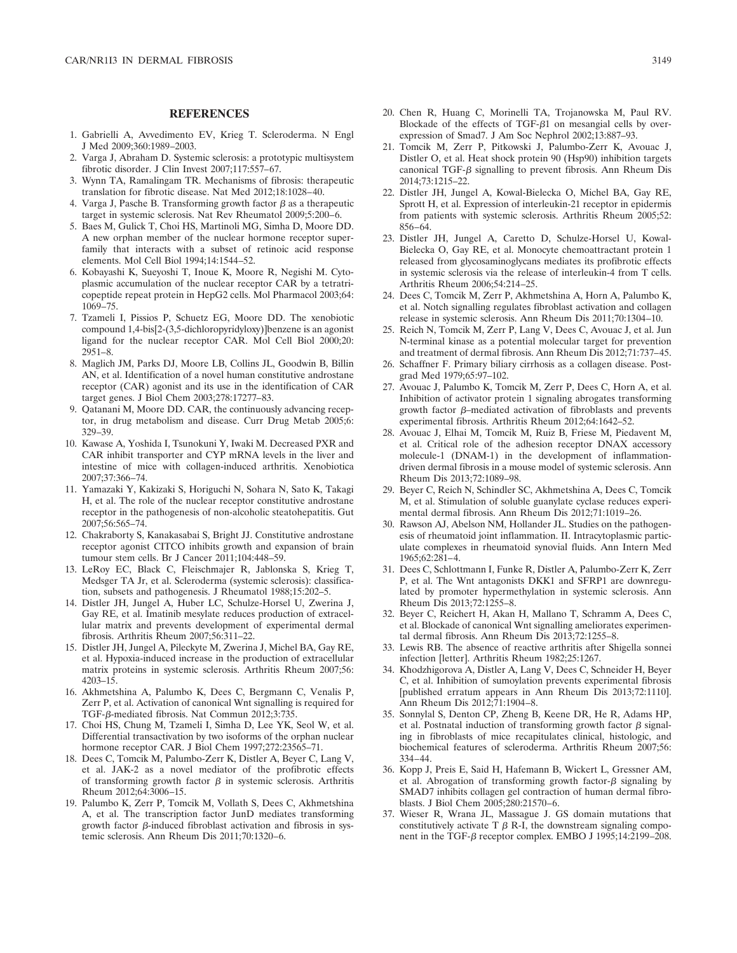## **REFERENCES**

- 1. Gabrielli A, Avvedimento EV, Krieg T. Scleroderma. N Engl J Med 2009;360:1989–2003.
- 2. Varga J, Abraham D. Systemic sclerosis: a prototypic multisystem fibrotic disorder. J Clin Invest 2007;117:557–67.
- 3. Wynn TA, Ramalingam TR. Mechanisms of fibrosis: therapeutic translation for fibrotic disease. Nat Med 2012;18:1028–40.
- 4. Varga J, Pasche B. Transforming growth factor  $\beta$  as a therapeutic target in systemic sclerosis. Nat Rev Rheumatol 2009;5:200–6.
- 5. Baes M, Gulick T, Choi HS, Martinoli MG, Simha D, Moore DD. A new orphan member of the nuclear hormone receptor superfamily that interacts with a subset of retinoic acid response elements. Mol Cell Biol 1994;14:1544–52.
- 6. Kobayashi K, Sueyoshi T, Inoue K, Moore R, Negishi M. Cytoplasmic accumulation of the nuclear receptor CAR by a tetratricopeptide repeat protein in HepG2 cells. Mol Pharmacol 2003;64: 1069–75.
- 7. Tzameli I, Pissios P, Schuetz EG, Moore DD. The xenobiotic compound 1,4-bis[2-(3,5-dichloropyridyloxy)]benzene is an agonist ligand for the nuclear receptor CAR. Mol Cell Biol 2000;20: 2951–8.
- 8. Maglich JM, Parks DJ, Moore LB, Collins JL, Goodwin B, Billin AN, et al. Identification of a novel human constitutive androstane receptor (CAR) agonist and its use in the identification of CAR target genes. J Biol Chem 2003;278:17277–83.
- 9. Qatanani M, Moore DD. CAR, the continuously advancing receptor, in drug metabolism and disease. Curr Drug Metab 2005;6: 329–39.
- 10. Kawase A, Yoshida I, Tsunokuni Y, Iwaki M. Decreased PXR and CAR inhibit transporter and CYP mRNA levels in the liver and intestine of mice with collagen-induced arthritis. Xenobiotica 2007;37:366–74.
- 11. Yamazaki Y, Kakizaki S, Horiguchi N, Sohara N, Sato K, Takagi H, et al. The role of the nuclear receptor constitutive androstane receptor in the pathogenesis of non-alcoholic steatohepatitis. Gut 2007;56:565–74.
- 12. Chakraborty S, Kanakasabai S, Bright JJ. Constitutive androstane receptor agonist CITCO inhibits growth and expansion of brain tumour stem cells. Br J Cancer 2011;104:448–59.
- 13. LeRoy EC, Black C, Fleischmajer R, Jablonska S, Krieg T, Medsger TA Jr, et al. Scleroderma (systemic sclerosis): classification, subsets and pathogenesis. J Rheumatol 1988;15:202–5.
- 14. Distler JH, Jungel A, Huber LC, Schulze-Horsel U, Zwerina J, Gay RE, et al. Imatinib mesylate reduces production of extracellular matrix and prevents development of experimental dermal fibrosis. Arthritis Rheum 2007;56:311–22.
- 15. Distler JH, Jungel A, Pileckyte M, Zwerina J, Michel BA, Gay RE, et al. Hypoxia-induced increase in the production of extracellular matrix proteins in systemic sclerosis. Arthritis Rheum 2007;56: 4203–15.
- 16. Akhmetshina A, Palumbo K, Dees C, Bergmann C, Venalis P, Zerr P, et al. Activation of canonical Wnt signalling is required for TGF- $\beta$ -mediated fibrosis. Nat Commun 2012;3:735.
- 17. Choi HS, Chung M, Tzameli I, Simha D, Lee YK, Seol W, et al. Differential transactivation by two isoforms of the orphan nuclear hormone receptor CAR. J Biol Chem 1997;272:23565–71.
- 18. Dees C, Tomcik M, Palumbo-Zerr K, Distler A, Beyer C, Lang V, et al. JAK-2 as a novel mediator of the profibrotic effects of transforming growth factor  $\beta$  in systemic sclerosis. Arthritis Rheum 2012;64:3006–15.
- 19. Palumbo K, Zerr P, Tomcik M, Vollath S, Dees C, Akhmetshina A, et al. The transcription factor JunD mediates transforming growth factor  $\beta$ -induced fibroblast activation and fibrosis in systemic sclerosis. Ann Rheum Dis 2011;70:1320–6.
- 20. Chen R, Huang C, Morinelli TA, Trojanowska M, Paul RV. Blockade of the effects of  $TGF- $\beta$ 1 on mesangial cells by over$ expression of Smad7. J Am Soc Nephrol 2002;13:887–93.
- 21. Tomcik M, Zerr P, Pitkowski J, Palumbo-Zerr K, Avouac J, Distler O, et al. Heat shock protein 90 (Hsp90) inhibition targets canonical TGF- $\beta$  signalling to prevent fibrosis. Ann Rheum Dis 2014;73:1215–22.
- 22. Distler JH, Jungel A, Kowal-Bielecka O, Michel BA, Gay RE, Sprott H, et al. Expression of interleukin-21 receptor in epidermis from patients with systemic sclerosis. Arthritis Rheum 2005;52: 856–64.
- 23. Distler JH, Jungel A, Caretto D, Schulze-Horsel U, Kowal-Bielecka O, Gay RE, et al. Monocyte chemoattractant protein 1 released from glycosaminoglycans mediates its profibrotic effects in systemic sclerosis via the release of interleukin-4 from T cells. Arthritis Rheum 2006;54:214–25.
- 24. Dees C, Tomcik M, Zerr P, Akhmetshina A, Horn A, Palumbo K, et al. Notch signalling regulates fibroblast activation and collagen release in systemic sclerosis. Ann Rheum Dis 2011;70:1304–10.
- 25. Reich N, Tomcik M, Zerr P, Lang V, Dees C, Avouac J, et al. Jun N-terminal kinase as a potential molecular target for prevention and treatment of dermal fibrosis. Ann Rheum Dis 2012;71:737–45.
- 26. Schaffner F. Primary biliary cirrhosis as a collagen disease. Postgrad Med 1979;65:97–102.
- 27. Avouac J, Palumbo K, Tomcik M, Zerr P, Dees C, Horn A, et al. Inhibition of activator protein 1 signaling abrogates transforming growth factor  $\beta$ -mediated activation of fibroblasts and prevents experimental fibrosis. Arthritis Rheum 2012;64:1642–52.
- 28. Avouac J, Elhai M, Tomcik M, Ruiz B, Friese M, Piedavent M, et al. Critical role of the adhesion receptor DNAX accessory molecule-1 (DNAM-1) in the development of inflammationdriven dermal fibrosis in a mouse model of systemic sclerosis. Ann Rheum Dis 2013;72:1089–98.
- 29. Beyer C, Reich N, Schindler SC, Akhmetshina A, Dees C, Tomcik M, et al. Stimulation of soluble guanylate cyclase reduces experimental dermal fibrosis. Ann Rheum Dis 2012;71:1019–26.
- 30. Rawson AJ, Abelson NM, Hollander JL. Studies on the pathogenesis of rheumatoid joint inflammation. II. Intracytoplasmic particulate complexes in rheumatoid synovial fluids. Ann Intern Med 1965;62:281–4.
- 31. Dees C, Schlottmann I, Funke R, Distler A, Palumbo-Zerr K, Zerr P, et al. The Wnt antagonists DKK1 and SFRP1 are downregulated by promoter hypermethylation in systemic sclerosis. Ann Rheum Dis 2013;72:1255–8.
- 32. Beyer C, Reichert H, Akan H, Mallano T, Schramm A, Dees C, et al. Blockade of canonical Wnt signalling ameliorates experimental dermal fibrosis. Ann Rheum Dis 2013;72:1255–8.
- 33. Lewis RB. The absence of reactive arthritis after Shigella sonnei infection [letter]. Arthritis Rheum 1982;25:1267.
- 34. Khodzhigorova A, Distler A, Lang V, Dees C, Schneider H, Beyer C, et al. Inhibition of sumoylation prevents experimental fibrosis [published erratum appears in Ann Rheum Dis 2013;72:1110]. Ann Rheum Dis 2012;71:1904–8.
- 35. Sonnylal S, Denton CP, Zheng B, Keene DR, He R, Adams HP, et al. Postnatal induction of transforming growth factor  $\beta$  signaling in fibroblasts of mice recapitulates clinical, histologic, and biochemical features of scleroderma. Arthritis Rheum 2007;56: 334–44.
- 36. Kopp J, Preis E, Said H, Hafemann B, Wickert L, Gressner AM, et al. Abrogation of transforming growth factor- $\beta$  signaling by SMAD7 inhibits collagen gel contraction of human dermal fibroblasts. J Biol Chem 2005;280:21570–6.
- 37. Wieser R, Wrana JL, Massague J. GS domain mutations that constitutively activate T  $\beta$  R-I, the downstream signaling component in the TGF- $\beta$  receptor complex. EMBO J 1995;14:2199–208.